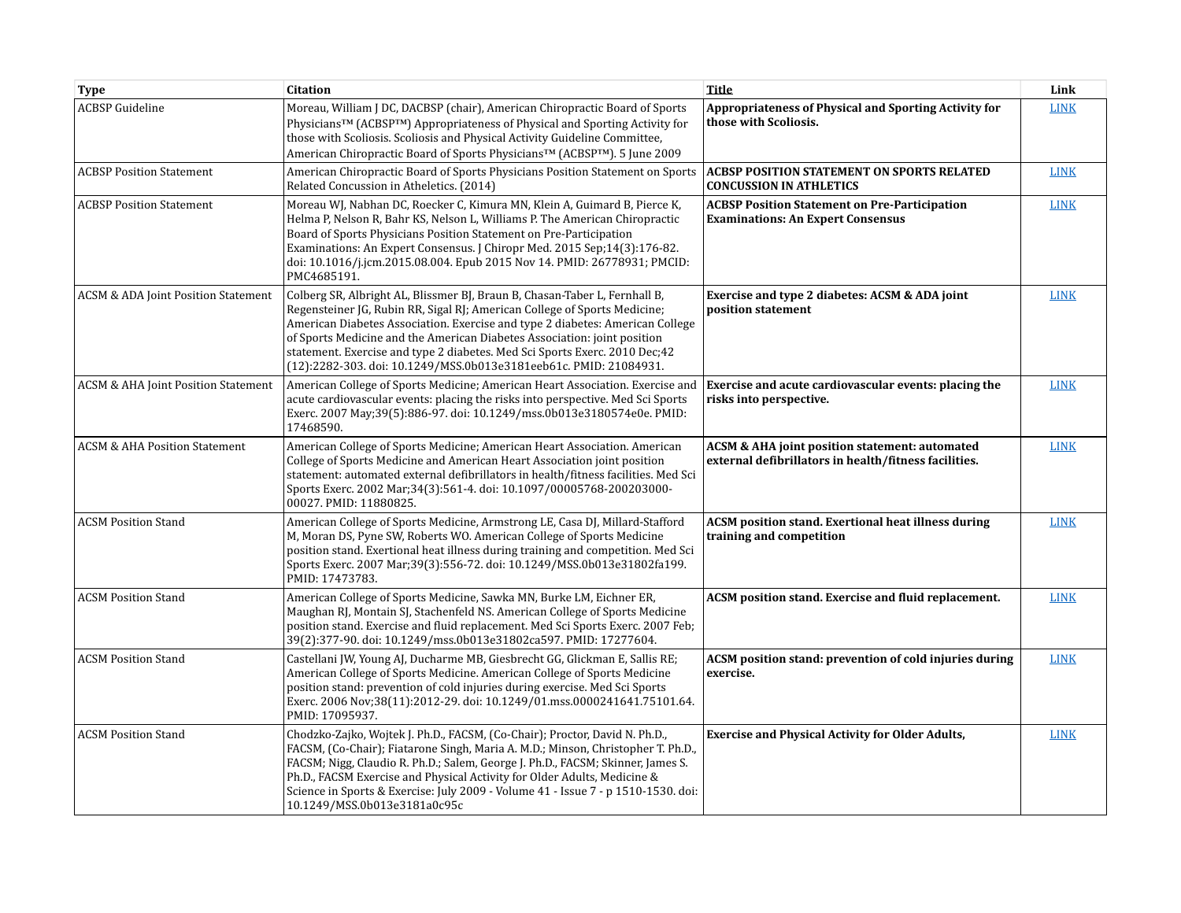| <b>Type</b>                                    | <b>Citation</b>                                                                                                                                                                                                                                                                                                                                                                                                                                                          | <b>Title</b>                                                                                                       | Link        |
|------------------------------------------------|--------------------------------------------------------------------------------------------------------------------------------------------------------------------------------------------------------------------------------------------------------------------------------------------------------------------------------------------------------------------------------------------------------------------------------------------------------------------------|--------------------------------------------------------------------------------------------------------------------|-------------|
| <b>ACBSP</b> Guideline                         | Moreau, William J DC, DACBSP (chair), American Chiropractic Board of Sports<br>Physicians™ (ACBSP™) Appropriateness of Physical and Sporting Activity for<br>those with Scoliosis. Scoliosis and Physical Activity Guideline Committee,<br>American Chiropractic Board of Sports Physicians™ (ACBSP™). 5 June 2009                                                                                                                                                       | Appropriateness of Physical and Sporting Activity for<br>those with Scoliosis.                                     | <b>LINK</b> |
| <b>ACBSP Position Statement</b>                | American Chiropractic Board of Sports Physicians Position Statement on Sports<br>Related Concussion in Atheletics. (2014)                                                                                                                                                                                                                                                                                                                                                | <b>ACBSP POSITION STATEMENT ON SPORTS RELATED</b><br><b>CONCUSSION IN ATHLETICS</b>                                | <b>LINK</b> |
| <b>ACBSP Position Statement</b>                | Moreau WJ, Nabhan DC, Roecker C, Kimura MN, Klein A, Guimard B, Pierce K,<br>Helma P, Nelson R, Bahr KS, Nelson L, Williams P. The American Chiropractic<br>Board of Sports Physicians Position Statement on Pre-Participation<br>Examinations: An Expert Consensus. J Chiropr Med. 2015 Sep;14(3):176-82.<br>doi: 10.1016/j.jcm.2015.08.004. Epub 2015 Nov 14. PMID: 26778931; PMCID:<br>PMC4685191.                                                                    | <b>ACBSP Position Statement on Pre-Participation</b><br><b>Examinations: An Expert Consensus</b>                   | <b>LINK</b> |
| <b>ACSM &amp; ADA Joint Position Statement</b> | Colberg SR, Albright AL, Blissmer BJ, Braun B, Chasan-Taber L, Fernhall B,<br>Regensteiner JG, Rubin RR, Sigal RJ; American College of Sports Medicine;<br>American Diabetes Association. Exercise and type 2 diabetes: American College<br>of Sports Medicine and the American Diabetes Association: joint position<br>statement. Exercise and type 2 diabetes. Med Sci Sports Exerc. 2010 Dec; 42<br>(12):2282-303. doi: 10.1249/MSS.0b013e3181eeb61c. PMID: 21084931. | Exercise and type 2 diabetes: ACSM & ADA joint<br>position statement                                               | <b>LINK</b> |
| <b>ACSM &amp; AHA Joint Position Statement</b> | American College of Sports Medicine; American Heart Association. Exercise and<br>acute cardiovascular events: placing the risks into perspective. Med Sci Sports<br>Exerc. 2007 May;39(5):886-97. doi: 10.1249/mss.0b013e3180574e0e. PMID:<br>17468590.                                                                                                                                                                                                                  | Exercise and acute cardiovascular events: placing the<br>risks into perspective.                                   | <b>LINK</b> |
| <b>ACSM &amp; AHA Position Statement</b>       | American College of Sports Medicine; American Heart Association. American<br>College of Sports Medicine and American Heart Association joint position<br>statement: automated external defibrillators in health/fitness facilities. Med Sci<br>Sports Exerc. 2002 Mar; 34(3): 561-4. doi: 10.1097/00005768-200203000-<br>00027. PMID: 11880825.                                                                                                                          | <b>ACSM &amp; AHA joint position statement: automated</b><br>external defibrillators in health/fitness facilities. | <b>LINK</b> |
| <b>ACSM Position Stand</b>                     | American College of Sports Medicine, Armstrong LE, Casa DJ, Millard-Stafford<br>M, Moran DS, Pyne SW, Roberts WO. American College of Sports Medicine<br>position stand. Exertional heat illness during training and competition. Med Sci<br>Sports Exerc. 2007 Mar; 39(3): 556-72. doi: 10.1249/MSS.0b013e31802fa199.<br>PMID: 17473783.                                                                                                                                | <b>ACSM</b> position stand. Exertional heat illness during<br>training and competition                             | <b>LINK</b> |
| <b>ACSM Position Stand</b>                     | American College of Sports Medicine, Sawka MN, Burke LM, Eichner ER,<br>Maughan RJ, Montain SJ, Stachenfeld NS. American College of Sports Medicine<br>position stand. Exercise and fluid replacement. Med Sci Sports Exerc. 2007 Feb;<br>39(2):377-90. doi: 10.1249/mss.0b013e31802ca597. PMID: 17277604.                                                                                                                                                               | ACSM position stand. Exercise and fluid replacement.                                                               | <b>LINK</b> |
| <b>ACSM Position Stand</b>                     | Castellani JW, Young AJ, Ducharme MB, Giesbrecht GG, Glickman E, Sallis RE;<br>American College of Sports Medicine. American College of Sports Medicine<br>position stand: prevention of cold injuries during exercise. Med Sci Sports<br>Exerc. 2006 Nov;38(11):2012-29. doi: 10.1249/01.mss.0000241641.75101.64.<br>PMID: 17095937.                                                                                                                                    | ACSM position stand: prevention of cold injuries during<br>exercise.                                               | <b>LINK</b> |
| <b>ACSM Position Stand</b>                     | Chodzko-Zajko, Wojtek J. Ph.D., FACSM, (Co-Chair); Proctor, David N. Ph.D.,<br>FACSM, (Co-Chair); Fiatarone Singh, Maria A. M.D.; Minson, Christopher T. Ph.D.,<br>FACSM; Nigg, Claudio R. Ph.D.; Salem, George J. Ph.D., FACSM; Skinner, James S.<br>Ph.D., FACSM Exercise and Physical Activity for Older Adults, Medicine &<br>Science in Sports & Exercise: July 2009 - Volume 41 - Issue 7 - p 1510-1530. doi:<br>10.1249/MSS.0b013e3181a0c95c                      | <b>Exercise and Physical Activity for Older Adults,</b>                                                            | <b>LINK</b> |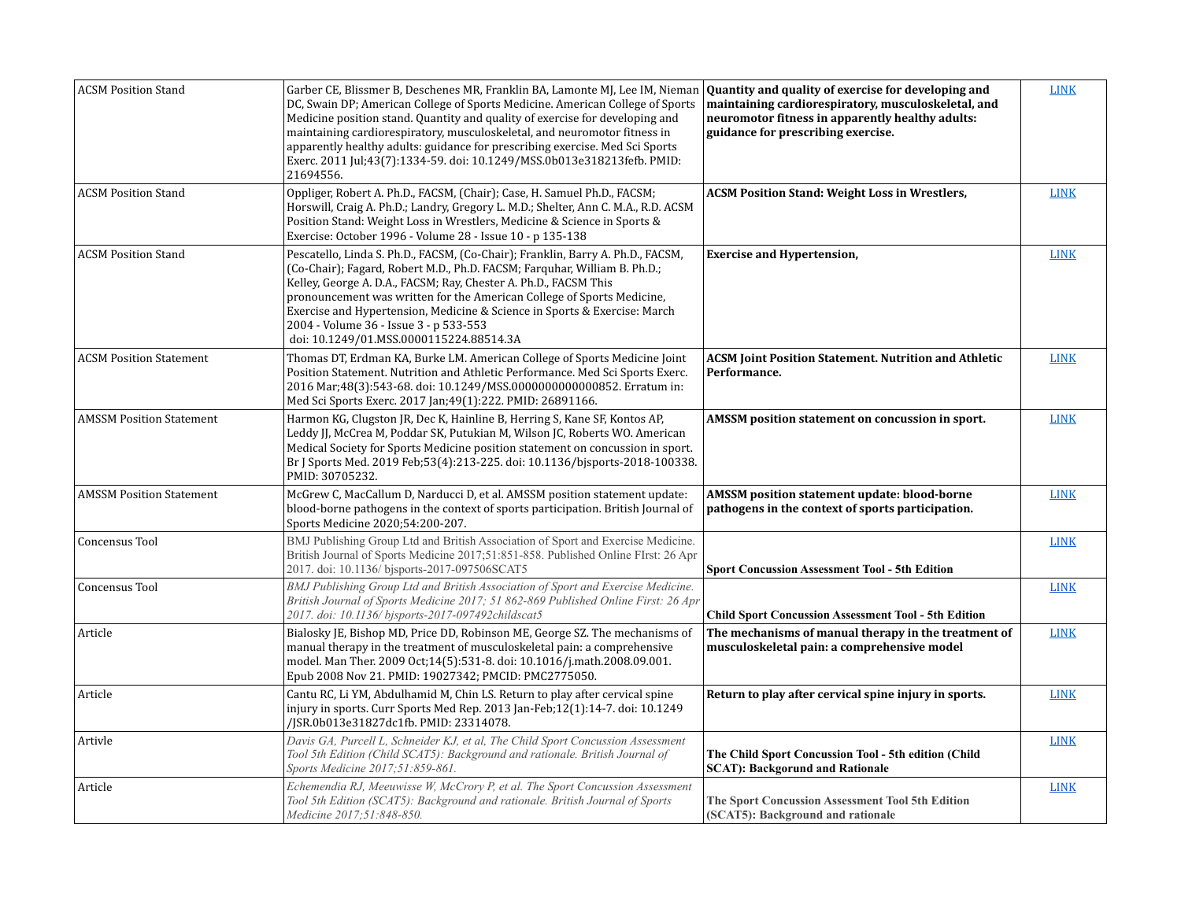| <b>ACSM Position Stand</b>      | Garber CE, Blissmer B, Deschenes MR, Franklin BA, Lamonte MJ, Lee IM, Nieman<br>DC, Swain DP; American College of Sports Medicine. American College of Sports<br>Medicine position stand. Quantity and quality of exercise for developing and<br>maintaining cardiorespiratory, musculoskeletal, and neuromotor fitness in<br>apparently healthy adults: guidance for prescribing exercise. Med Sci Sports<br>Exerc. 2011 Jul;43(7):1334-59. doi: 10.1249/MSS.0b013e318213fefb. PMID:<br>21694556. | Quantity and quality of exercise for developing and<br>maintaining cardiorespiratory, musculoskeletal, and<br>neuromotor fitness in apparently healthy adults:<br>guidance for prescribing exercise. | <b>LINK</b> |
|---------------------------------|----------------------------------------------------------------------------------------------------------------------------------------------------------------------------------------------------------------------------------------------------------------------------------------------------------------------------------------------------------------------------------------------------------------------------------------------------------------------------------------------------|------------------------------------------------------------------------------------------------------------------------------------------------------------------------------------------------------|-------------|
| <b>ACSM Position Stand</b>      | Oppliger, Robert A. Ph.D., FACSM, (Chair); Case, H. Samuel Ph.D., FACSM;<br>Horswill, Craig A. Ph.D.; Landry, Gregory L. M.D.; Shelter, Ann C. M.A., R.D. ACSM<br>Position Stand: Weight Loss in Wrestlers, Medicine & Science in Sports &<br>Exercise: October 1996 - Volume 28 - Issue 10 - p 135-138                                                                                                                                                                                            | <b>ACSM Position Stand: Weight Loss in Wrestlers,</b>                                                                                                                                                | <b>LINK</b> |
| <b>ACSM Position Stand</b>      | Pescatello, Linda S. Ph.D., FACSM, (Co-Chair); Franklin, Barry A. Ph.D., FACSM,<br>(Co-Chair); Fagard, Robert M.D., Ph.D. FACSM; Farquhar, William B. Ph.D.;<br>Kelley, George A. D.A., FACSM; Ray, Chester A. Ph.D., FACSM This<br>pronouncement was written for the American College of Sports Medicine,<br>Exercise and Hypertension, Medicine & Science in Sports & Exercise: March<br>2004 - Volume 36 - Issue 3 - p 533-553<br>doi: 10.1249/01.MSS.0000115224.88514.3A                       | <b>Exercise and Hypertension,</b>                                                                                                                                                                    | <b>LINK</b> |
| <b>ACSM Position Statement</b>  | Thomas DT, Erdman KA, Burke LM. American College of Sports Medicine Joint<br>Position Statement. Nutrition and Athletic Performance. Med Sci Sports Exerc.<br>2016 Mar;48(3):543-68. doi: 10.1249/MSS.0000000000000852. Erratum in:<br>Med Sci Sports Exerc. 2017 Jan; 49(1): 222. PMID: 26891166.                                                                                                                                                                                                 | <b>ACSM Joint Position Statement. Nutrition and Athletic</b><br>Performance.                                                                                                                         | <b>LINK</b> |
| <b>AMSSM Position Statement</b> | Harmon KG, Clugston JR, Dec K, Hainline B, Herring S, Kane SF, Kontos AP,<br>Leddy JJ, McCrea M, Poddar SK, Putukian M, Wilson JC, Roberts WO. American<br>Medical Society for Sports Medicine position statement on concussion in sport.<br>Br J Sports Med. 2019 Feb; 53(4): 213-225. doi: 10.1136/bjsports-2018-100338.<br>PMID: 30705232.                                                                                                                                                      | AMSSM position statement on concussion in sport.                                                                                                                                                     | <b>LINK</b> |
| <b>AMSSM Position Statement</b> | McGrew C, MacCallum D, Narducci D, et al. AMSSM position statement update:<br>blood-borne pathogens in the context of sports participation. British Journal of<br>Sports Medicine 2020;54:200-207.                                                                                                                                                                                                                                                                                                 | <b>AMSSM</b> position statement update: blood-borne<br>pathogens in the context of sports participation.                                                                                             | <b>LINK</b> |
| Concensus Tool                  | BMJ Publishing Group Ltd and British Association of Sport and Exercise Medicine.<br>British Journal of Sports Medicine 2017;51:851-858. Published Online FIrst: 26 Apr<br>2017. doi: 10.1136/bjsports-2017-097506SCAT5                                                                                                                                                                                                                                                                             | <b>Sport Concussion Assessment Tool - 5th Edition</b>                                                                                                                                                | <b>LINK</b> |
| Concensus Tool                  | BMJ Publishing Group Ltd and British Association of Sport and Exercise Medicine.<br>British Journal of Sports Medicine 2017; 51 862-869 Published Online First: 26 Apr<br>2017. doi: 10.1136/bjsports-2017-097492childscat5                                                                                                                                                                                                                                                                        | <b>Child Sport Concussion Assessment Tool - 5th Edition</b>                                                                                                                                          | <b>LINK</b> |
| Article                         | Bialosky JE, Bishop MD, Price DD, Robinson ME, George SZ. The mechanisms of<br>manual therapy in the treatment of musculoskeletal pain: a comprehensive<br>model. Man Ther. 2009 Oct;14(5):531-8. doi: 10.1016/j.math.2008.09.001.<br>Epub 2008 Nov 21. PMID: 19027342; PMCID: PMC2775050.                                                                                                                                                                                                         | The mechanisms of manual therapy in the treatment of<br>musculoskeletal pain: a comprehensive model                                                                                                  | <b>LINK</b> |
| Article                         | Cantu RC, Li YM, Abdulhamid M, Chin LS. Return to play after cervical spine<br>injury in sports. Curr Sports Med Rep. 2013 Jan-Feb; 12(1): 14-7. doi: 10.1249<br>/JSR.0b013e31827dc1fb. PMID: 23314078.                                                                                                                                                                                                                                                                                            | Return to play after cervical spine injury in sports.                                                                                                                                                | <b>LINK</b> |
| Artivle                         | Davis GA, Purcell L, Schneider KJ, et al, The Child Sport Concussion Assessment<br>Tool 5th Edition (Child SCAT5): Background and rationale. British Journal of<br>Sports Medicine 2017;51:859-861.                                                                                                                                                                                                                                                                                                | The Child Sport Concussion Tool - 5th edition (Child<br><b>SCAT</b> ): Backgorund and Rationale                                                                                                      | <b>LINK</b> |
| Article                         | Echemendia RJ, Meeuwisse W, McCrory P, et al. The Sport Concussion Assessment<br>Tool 5th Edition (SCAT5): Background and rationale. British Journal of Sports<br>Medicine 2017;51:848-850.                                                                                                                                                                                                                                                                                                        | The Sport Concussion Assessment Tool 5th Edition<br>(SCAT5): Background and rationale                                                                                                                | <b>LINK</b> |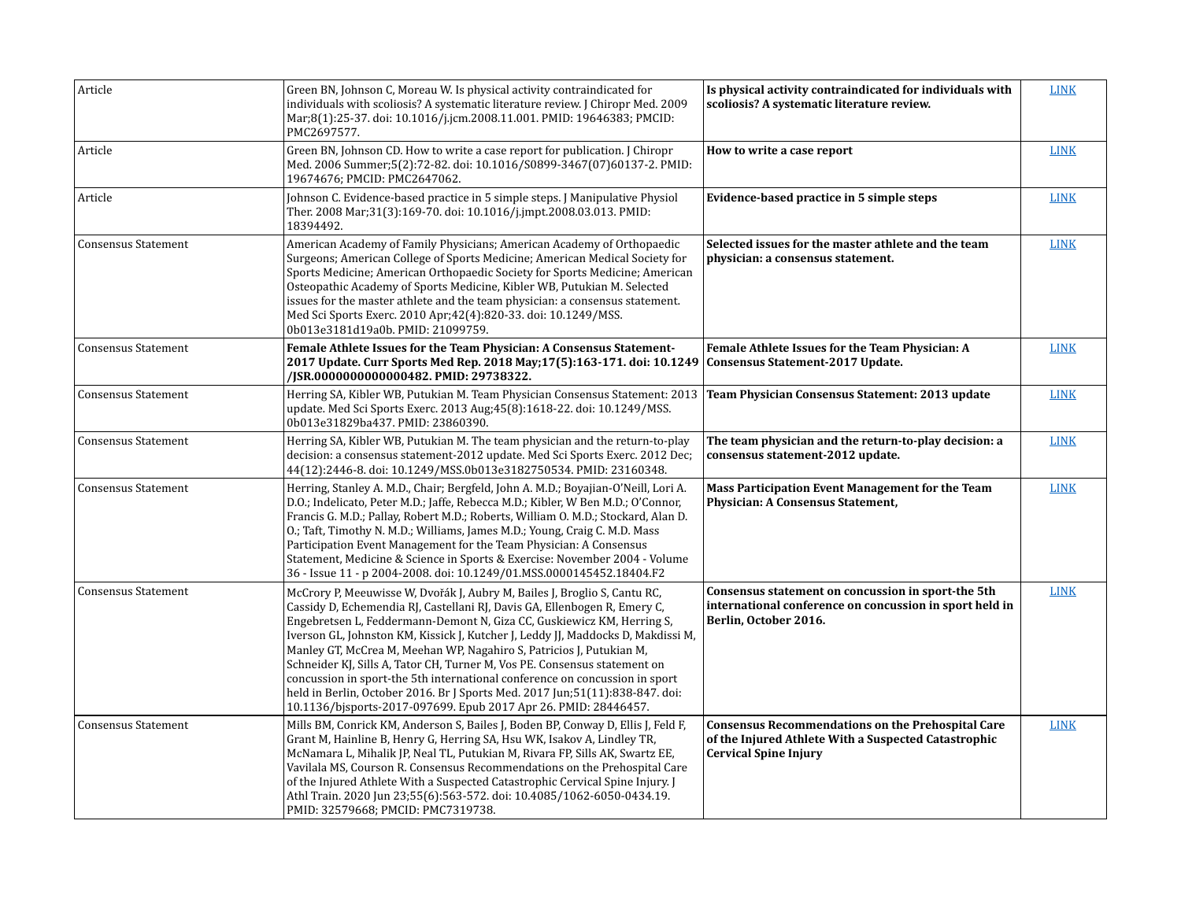| Article                    | Green BN, Johnson C, Moreau W. Is physical activity contraindicated for<br>individuals with scoliosis? A systematic literature review. J Chiropr Med. 2009<br>Mar;8(1):25-37. doi: 10.1016/j.jcm.2008.11.001. PMID: 19646383; PMCID:<br>PMC2697577.                                                                                                                                                                                                                                                                                                                                                                                                                                                         | Is physical activity contraindicated for individuals with<br>scoliosis? A systematic literature review.                                          | <b>LINK</b> |
|----------------------------|-------------------------------------------------------------------------------------------------------------------------------------------------------------------------------------------------------------------------------------------------------------------------------------------------------------------------------------------------------------------------------------------------------------------------------------------------------------------------------------------------------------------------------------------------------------------------------------------------------------------------------------------------------------------------------------------------------------|--------------------------------------------------------------------------------------------------------------------------------------------------|-------------|
| Article                    | Green BN, Johnson CD. How to write a case report for publication. J Chiropr<br>Med. 2006 Summer; 5(2): 72-82. doi: 10.1016/S0899-3467(07)60137-2. PMID:<br>19674676; PMCID: PMC2647062.                                                                                                                                                                                                                                                                                                                                                                                                                                                                                                                     | How to write a case report                                                                                                                       | <b>LINK</b> |
| Article                    | Johnson C. Evidence-based practice in 5 simple steps. J Manipulative Physiol<br>Ther. 2008 Mar;31(3):169-70. doi: 10.1016/j.jmpt.2008.03.013. PMID:<br>18394492.                                                                                                                                                                                                                                                                                                                                                                                                                                                                                                                                            | Evidence-based practice in 5 simple steps                                                                                                        | <b>LINK</b> |
| <b>Consensus Statement</b> | American Academy of Family Physicians; American Academy of Orthopaedic<br>Surgeons; American College of Sports Medicine; American Medical Society for<br>Sports Medicine; American Orthopaedic Society for Sports Medicine; American<br>Osteopathic Academy of Sports Medicine, Kibler WB, Putukian M. Selected<br>issues for the master athlete and the team physician: a consensus statement.<br>Med Sci Sports Exerc. 2010 Apr;42(4):820-33. doi: 10.1249/MSS.<br>0b013e3181d19a0b. PMID: 21099759.                                                                                                                                                                                                      | Selected issues for the master athlete and the team<br>physician: a consensus statement.                                                         | <b>LINK</b> |
| Consensus Statement        | <b>Female Athlete Issues for the Team Physician: A Consensus Statement-</b><br>2017 Update. Curr Sports Med Rep. 2018 May; 17(5): 163-171. doi: 10.1249 Consensus Statement-2017 Update.<br>/ISR.0000000000000482. PMID: 29738322.                                                                                                                                                                                                                                                                                                                                                                                                                                                                          | Female Athlete Issues for the Team Physician: A                                                                                                  | <b>LINK</b> |
| Consensus Statement        | Herring SA, Kibler WB, Putukian M. Team Physician Consensus Statement: 2013<br>update. Med Sci Sports Exerc. 2013 Aug; 45(8): 1618-22. doi: 10.1249/MSS.<br>0b013e31829ba437. PMID: 23860390.                                                                                                                                                                                                                                                                                                                                                                                                                                                                                                               | Team Physician Consensus Statement: 2013 update                                                                                                  | <b>LINK</b> |
| <b>Consensus Statement</b> | Herring SA, Kibler WB, Putukian M. The team physician and the return-to-play<br>decision: a consensus statement-2012 update. Med Sci Sports Exerc. 2012 Dec;<br>44(12):2446-8. doi: 10.1249/MSS.0b013e3182750534. PMID: 23160348.                                                                                                                                                                                                                                                                                                                                                                                                                                                                           | The team physician and the return-to-play decision: a<br>consensus statement-2012 update.                                                        | <b>LINK</b> |
| <b>Consensus Statement</b> | Herring, Stanley A. M.D., Chair; Bergfeld, John A. M.D.; Boyajian-O'Neill, Lori A.<br>D.O.; Indelicato, Peter M.D.; Jaffe, Rebecca M.D.; Kibler, W Ben M.D.; O'Connor,<br>Francis G. M.D.; Pallay, Robert M.D.; Roberts, William O. M.D.; Stockard, Alan D.<br>O.; Taft, Timothy N. M.D.; Williams, James M.D.; Young, Craig C. M.D. Mass<br>Participation Event Management for the Team Physician: A Consensus<br>Statement, Medicine & Science in Sports & Exercise: November 2004 - Volume<br>36 - Issue 11 - p 2004-2008. doi: 10.1249/01.MSS.0000145452.18404.F2                                                                                                                                       | <b>Mass Participation Event Management for the Team</b><br><b>Physician: A Consensus Statement,</b>                                              | <b>LINK</b> |
| <b>Consensus Statement</b> | McCrory P, Meeuwisse W, Dvořák J, Aubry M, Bailes J, Broglio S, Cantu RC,<br>Cassidy D, Echemendia RJ, Castellani RJ, Davis GA, Ellenbogen R, Emery C,<br>Engebretsen L, Feddermann-Demont N, Giza CC, Guskiewicz KM, Herring S,<br>Iverson GL, Johnston KM, Kissick J, Kutcher J, Leddy JJ, Maddocks D, Makdissi M,<br>Manley GT, McCrea M, Meehan WP, Nagahiro S, Patricios J, Putukian M,<br>Schneider KJ, Sills A, Tator CH, Turner M, Vos PE. Consensus statement on<br>concussion in sport-the 5th international conference on concussion in sport<br>held in Berlin, October 2016. Br J Sports Med. 2017 Jun;51(11):838-847. doi:<br>10.1136/bjsports-2017-097699. Epub 2017 Apr 26. PMID: 28446457. | Consensus statement on concussion in sport-the 5th<br>international conference on concussion in sport held in<br>Berlin, October 2016.           | <b>LINK</b> |
| <b>Consensus Statement</b> | Mills BM, Conrick KM, Anderson S, Bailes J, Boden BP, Conway D, Ellis J, Feld F,<br>Grant M, Hainline B, Henry G, Herring SA, Hsu WK, Isakov A, Lindley TR,<br>McNamara L, Mihalik JP, Neal TL, Putukian M, Rivara FP, Sills AK, Swartz EE,<br>Vavilala MS, Courson R. Consensus Recommendations on the Prehospital Care<br>of the Injured Athlete With a Suspected Catastrophic Cervical Spine Injury. J<br>Athl Train. 2020 Jun 23;55(6):563-572. doi: 10.4085/1062-6050-0434.19.<br>PMID: 32579668; PMCID: PMC7319738.                                                                                                                                                                                   | <b>Consensus Recommendations on the Prehospital Care</b><br>of the Injured Athlete With a Suspected Catastrophic<br><b>Cervical Spine Injury</b> | <b>LINK</b> |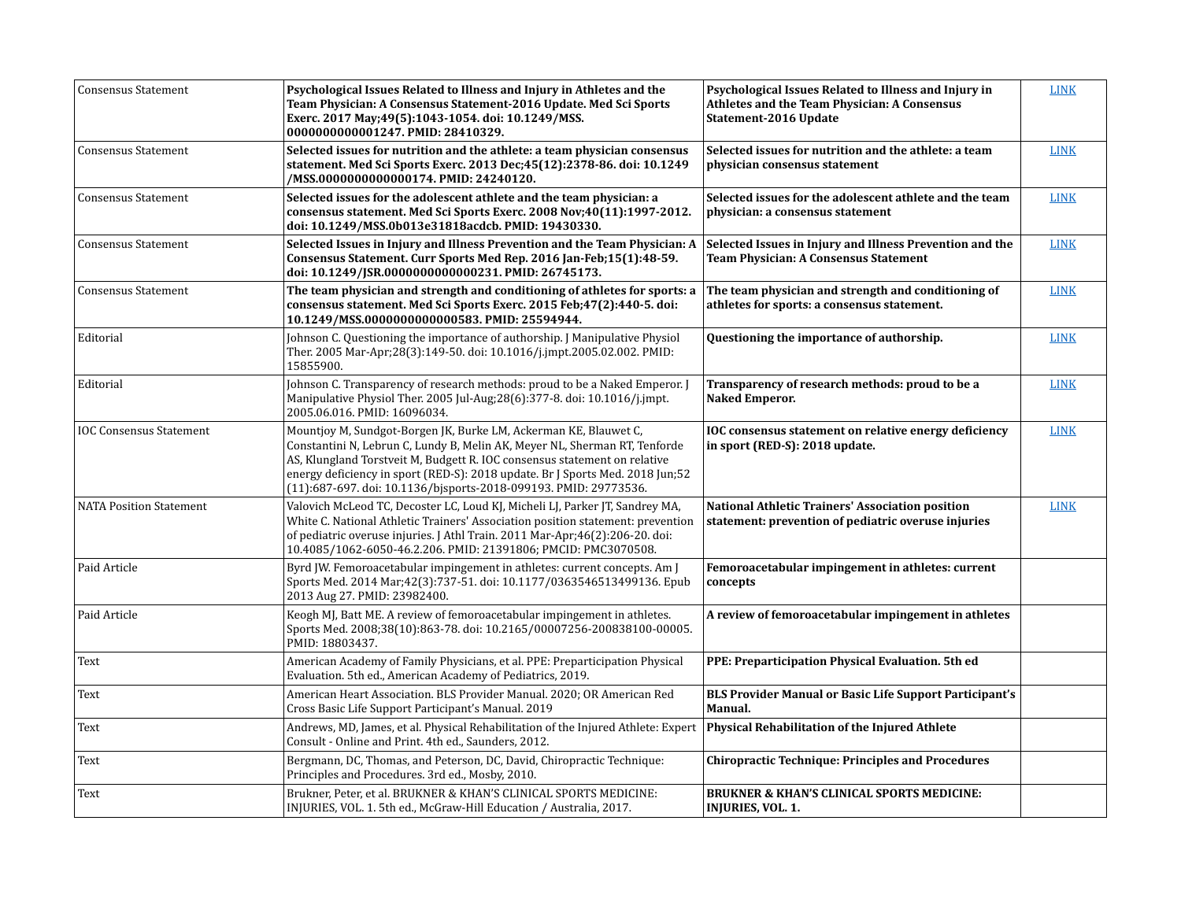| <b>Consensus Statement</b>     | Psychological Issues Related to Illness and Injury in Athletes and the<br>Team Physician: A Consensus Statement-2016 Update. Med Sci Sports<br>Exerc. 2017 May; 49(5): 1043-1054. doi: 10.1249/MSS.<br>0000000000001247. PMID: 28410329.                                                                                                                                          | Psychological Issues Related to Illness and Injury in<br>Athletes and the Team Physician: A Consensus<br>Statement-2016 Update | <b>LINK</b> |
|--------------------------------|-----------------------------------------------------------------------------------------------------------------------------------------------------------------------------------------------------------------------------------------------------------------------------------------------------------------------------------------------------------------------------------|--------------------------------------------------------------------------------------------------------------------------------|-------------|
| <b>Consensus Statement</b>     | Selected issues for nutrition and the athlete: a team physician consensus<br>statement. Med Sci Sports Exerc. 2013 Dec;45(12):2378-86. doi: 10.1249<br>/MSS.0000000000000174. PMID: 24240120.                                                                                                                                                                                     | Selected issues for nutrition and the athlete: a team<br>physician consensus statement                                         | <b>LINK</b> |
| <b>Consensus Statement</b>     | Selected issues for the adolescent athlete and the team physician: a<br>consensus statement. Med Sci Sports Exerc. 2008 Nov;40(11):1997-2012.<br>doi: 10.1249/MSS.0b013e31818acdcb. PMID: 19430330.                                                                                                                                                                               | Selected issues for the adolescent athlete and the team<br>physician: a consensus statement                                    | <b>LINK</b> |
| <b>Consensus Statement</b>     | Selected Issues in Injury and Illness Prevention and the Team Physician: A<br>Consensus Statement. Curr Sports Med Rep. 2016 Jan-Feb; 15(1): 48-59.<br>doi: 10.1249/JSR.0000000000000231. PMID: 26745173.                                                                                                                                                                         | Selected Issues in Injury and Illness Prevention and the<br><b>Team Physician: A Consensus Statement</b>                       | <b>LINK</b> |
| <b>Consensus Statement</b>     | The team physician and strength and conditioning of athletes for sports: a<br>consensus statement. Med Sci Sports Exerc. 2015 Feb;47(2):440-5. doi:<br>10.1249/MSS.0000000000000583. PMID: 25594944.                                                                                                                                                                              | The team physician and strength and conditioning of<br>athletes for sports: a consensus statement.                             | <b>LINK</b> |
| Editorial                      | Johnson C. Questioning the importance of authorship. J Manipulative Physiol<br>Ther. 2005 Mar-Apr;28(3):149-50. doi: 10.1016/j.jmpt.2005.02.002. PMID:<br>15855900.                                                                                                                                                                                                               | Questioning the importance of authorship.                                                                                      | <b>LINK</b> |
| Editorial                      | Johnson C. Transparency of research methods: proud to be a Naked Emperor. J<br>Manipulative Physiol Ther. 2005 Jul-Aug;28(6):377-8. doi: 10.1016/j.jmpt.<br>2005.06.016. PMID: 16096034.                                                                                                                                                                                          | Transparency of research methods: proud to be a<br><b>Naked Emperor.</b>                                                       | <b>LINK</b> |
| <b>IOC Consensus Statement</b> | Mountjoy M, Sundgot-Borgen JK, Burke LM, Ackerman KE, Blauwet C,<br>Constantini N, Lebrun C, Lundy B, Melin AK, Meyer NL, Sherman RT, Tenforde<br>AS, Klungland Torstveit M, Budgett R. IOC consensus statement on relative<br>energy deficiency in sport (RED-S): 2018 update. Br J Sports Med. 2018 Jun; 52<br>(11):687-697. doi: 10.1136/bjsports-2018-099193. PMID: 29773536. | IOC consensus statement on relative energy deficiency<br>in sport (RED-S): 2018 update.                                        | <b>LINK</b> |
| <b>NATA Position Statement</b> | Valovich McLeod TC, Decoster LC, Loud KJ, Micheli LJ, Parker JT, Sandrey MA,<br>White C. National Athletic Trainers' Association position statement: prevention<br>of pediatric overuse injuries. [Athl Train. 2011 Mar-Apr;46(2):206-20. doi:<br>10.4085/1062-6050-46.2.206. PMID: 21391806; PMCID: PMC3070508.                                                                  | <b>National Athletic Trainers' Association position</b><br>statement: prevention of pediatric overuse injuries                 | <b>LINK</b> |
| Paid Article                   | Byrd JW. Femoroacetabular impingement in athletes: current concepts. Am J<br>Sports Med. 2014 Mar; 42(3): 737-51. doi: 10.1177/0363546513499136. Epub<br>2013 Aug 27. PMID: 23982400.                                                                                                                                                                                             | Femoroacetabular impingement in athletes: current<br>concepts                                                                  |             |
| Paid Article                   | Keogh MJ, Batt ME. A review of femoroacetabular impingement in athletes.<br>Sports Med. 2008;38(10):863-78. doi: 10.2165/00007256-200838100-00005.<br>PMID: 18803437.                                                                                                                                                                                                             | A review of femoroacetabular impingement in athletes                                                                           |             |
| Text                           | American Academy of Family Physicians, et al. PPE: Preparticipation Physical<br>Evaluation. 5th ed., American Academy of Pediatrics, 2019.                                                                                                                                                                                                                                        | PPE: Preparticipation Physical Evaluation. 5th ed                                                                              |             |
| Text                           | American Heart Association. BLS Provider Manual. 2020; OR American Red<br>Cross Basic Life Support Participant's Manual. 2019                                                                                                                                                                                                                                                     | <b>BLS Provider Manual or Basic Life Support Participant's</b><br>Manual.                                                      |             |
| Text                           | Andrews, MD, James, et al. Physical Rehabilitation of the Injured Athlete: Expert<br>Consult - Online and Print. 4th ed., Saunders, 2012.                                                                                                                                                                                                                                         | <b>Physical Rehabilitation of the Injured Athlete</b>                                                                          |             |
| Text                           | Bergmann, DC, Thomas, and Peterson, DC, David, Chiropractic Technique:<br>Principles and Procedures. 3rd ed., Mosby, 2010.                                                                                                                                                                                                                                                        | <b>Chiropractic Technique: Principles and Procedures</b>                                                                       |             |
| Text                           | Brukner, Peter, et al. BRUKNER & KHAN'S CLINICAL SPORTS MEDICINE:<br>INJURIES, VOL. 1. 5th ed., McGraw-Hill Education / Australia, 2017.                                                                                                                                                                                                                                          | <b>BRUKNER &amp; KHAN'S CLINICAL SPORTS MEDICINE:</b><br><b>INJURIES, VOL. 1.</b>                                              |             |